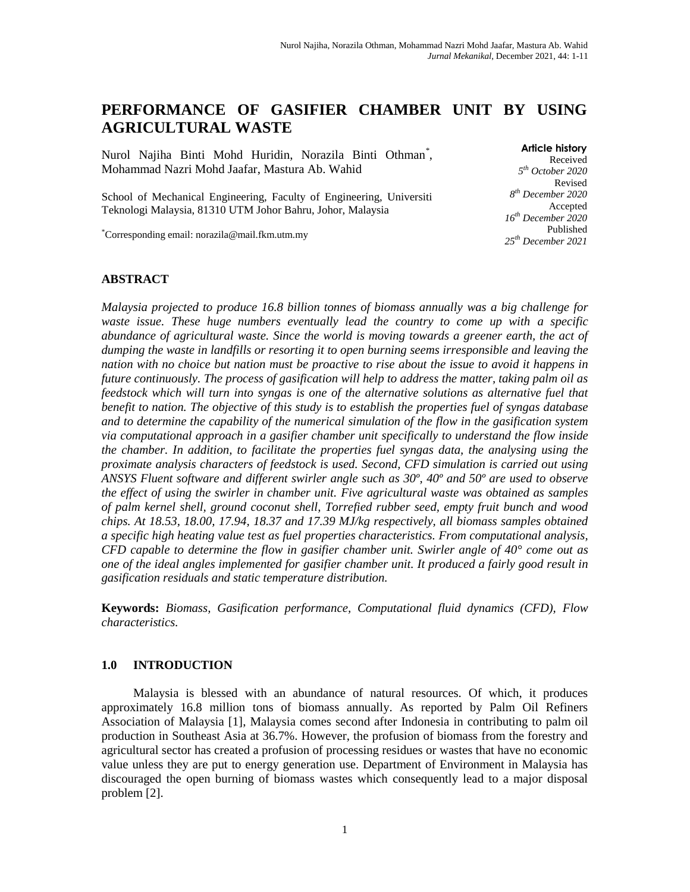# **PERFORMANCE OF GASIFIER CHAMBER UNIT BY USING AGRICULTURAL WASTE**

Nurol Najiha Binti Mohd Huridin, Norazila Binti Othman\* , Mohammad Nazri Mohd Jaafar, Mastura Ab. Wahid

School of Mechanical Engineering, Faculty of Engineering, Universiti Teknologi Malaysia, 81310 UTM Johor Bahru, Johor, Malaysia

\*Corresponding email: norazila@mail.fkm.utm.my

**Article history** Received *5 th October 2020* Revised *8 th December 2020* Accepted *16th December 2020* Published *25th December 2021*

### **ABSTRACT**

*Malaysia projected to produce 16.8 billion tonnes of biomass annually was a big challenge for waste issue. These huge numbers eventually lead the country to come up with a specific abundance of agricultural waste. Since the world is moving towards a greener earth, the act of dumping the waste in landfills or resorting it to open burning seems irresponsible and leaving the nation with no choice but nation must be proactive to rise about the issue to avoid it happens in future continuously. The process of gasification will help to address the matter, taking palm oil as feedstock which will turn into syngas is one of the alternative solutions as alternative fuel that benefit to nation. The objective of this study is to establish the properties fuel of syngas database and to determine the capability of the numerical simulation of the flow in the gasification system via computational approach in a gasifier chamber unit specifically to understand the flow inside the chamber. In addition, to facilitate the properties fuel syngas data, the analysing using the proximate analysis characters of feedstock is used. Second, CFD simulation is carried out using ANSYS Fluent software and different swirler angle such as 30º, 40º and 50º are used to observe the effect of using the swirler in chamber unit. Five agricultural waste was obtained as samples of palm kernel shell, ground coconut shell, Torrefied rubber seed, empty fruit bunch and wood chips. At 18.53, 18.00, 17.94, 18.37 and 17.39 MJ/kg respectively, all biomass samples obtained a specific high heating value test as fuel properties characteristics. From computational analysis, CFD capable to determine the flow in gasifier chamber unit. Swirler angle of 40° come out as one of the ideal angles implemented for gasifier chamber unit. It produced a fairly good result in gasification residuals and static temperature distribution.*

**Keywords:** *Biomass, Gasification performance, Computational fluid dynamics (CFD), Flow characteristics.* 

#### **1.0 INTRODUCTION**

Malaysia is blessed with an abundance of natural resources. Of which, it produces approximately 16.8 million tons of biomass annually. As reported by Palm Oil Refiners Association of Malaysia [1], Malaysia comes second after Indonesia in contributing to palm oil production in Southeast Asia at 36.7%. However, the profusion of biomass from the forestry and agricultural sector has created a profusion of processing residues or wastes that have no economic value unless they are put to energy generation use. Department of Environment in Malaysia has discouraged the open burning of biomass wastes which consequently lead to a major disposal problem [2].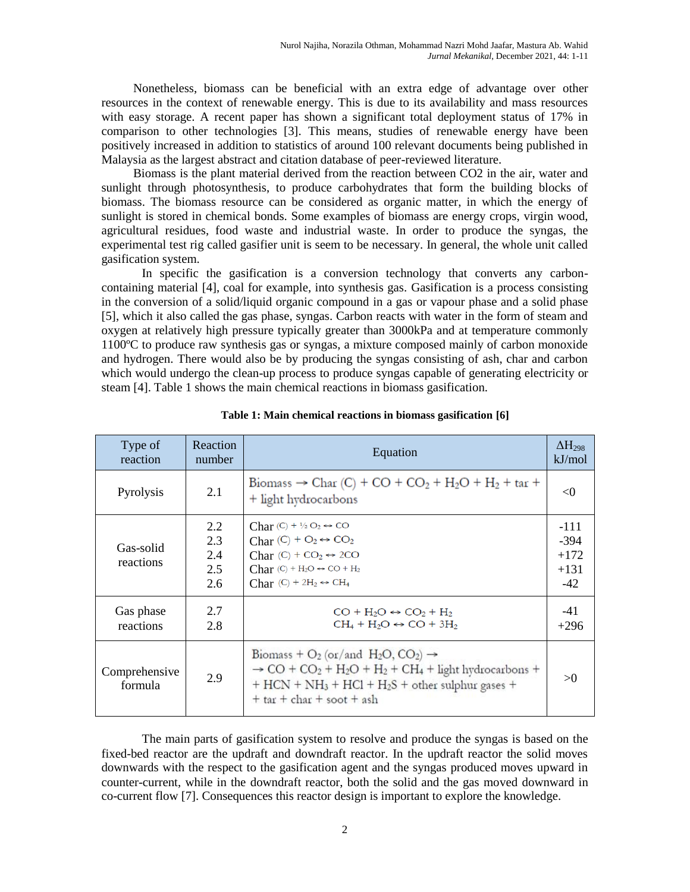Nonetheless, biomass can be beneficial with an extra edge of advantage over other resources in the context of renewable energy. This is due to its availability and mass resources with easy storage. A recent paper has shown a significant total deployment status of 17% in comparison to other technologies [3]. This means, studies of renewable energy have been positively increased in addition to statistics of around 100 relevant documents being published in Malaysia as the largest abstract and citation database of peer-reviewed literature.

Biomass is the plant material derived from the reaction between CO2 in the air, water and sunlight through photosynthesis, to produce carbohydrates that form the building blocks of biomass. The biomass resource can be considered as organic matter, in which the energy of sunlight is stored in chemical bonds. Some examples of biomass are energy crops, virgin wood, agricultural residues, food waste and industrial waste. In order to produce the syngas, the experimental test rig called gasifier unit is seem to be necessary. In general, the whole unit called gasification system.

In specific the gasification is a conversion technology that converts any carboncontaining material [4], coal for example, into synthesis gas. Gasification is a process consisting in the conversion of a solid/liquid organic compound in a gas or vapour phase and a solid phase [5], which it also called the gas phase, syngas. Carbon reacts with water in the form of steam and oxygen at relatively high pressure typically greater than 3000kPa and at temperature commonly 1100ºC to produce raw synthesis gas or syngas, a mixture composed mainly of carbon monoxide and hydrogen. There would also be by producing the syngas consisting of ash, char and carbon which would undergo the clean-up process to produce syngas capable of generating electricity or steam [4]. Table 1 shows the main chemical reactions in biomass gasification.

| Type of<br>reaction      | Reaction<br>number              | Equation                                                                                                                                                                                                                                                                                                        | $\Delta H_{298}$<br>kJ/mol                    |
|--------------------------|---------------------------------|-----------------------------------------------------------------------------------------------------------------------------------------------------------------------------------------------------------------------------------------------------------------------------------------------------------------|-----------------------------------------------|
| Pyrolysis                | 2.1                             | Biomass $\rightarrow$ Char (C) + CO + CO <sub>2</sub> + H <sub>2</sub> O + H <sub>2</sub> + tar +<br>+ light hydrocarbons                                                                                                                                                                                       | $\langle$ ()                                  |
| Gas-solid<br>reactions   | 2.2<br>2.3<br>2.4<br>2.5<br>2.6 | Char $(C) + \frac{1}{2} O_2 \leftrightarrow CO$<br>Char $(C) + O_2 \leftrightarrow CO_2$<br>Char $(C) + CO_2 \leftrightarrow 2CO$<br>Char $(C)$ + H <sub>2</sub> O $\leftrightarrow$ CO + H <sub>2</sub><br>Char $(C)$ + 2H <sub>2</sub> $\leftrightarrow$ CH <sub>4</sub>                                      | $-111$<br>$-394$<br>$+172$<br>$+131$<br>$-42$ |
| Gas phase<br>reactions   | 2.7<br>2.8                      | $CO + H2O \leftrightarrow CO2 + H2$<br>$CH_4 + H_2O \leftrightarrow CO + 3H_2$                                                                                                                                                                                                                                  | $-41$<br>$+296$                               |
| Comprehensive<br>formula | 2.9                             | Biomass + $O_2$ (or/and H <sub>2</sub> O, CO <sub>2</sub> ) $\rightarrow$<br>$\rightarrow$ CO + CO <sub>2</sub> + H <sub>2</sub> O + H <sub>2</sub> + CH <sub>4</sub> + light hydrocarbons +<br>$+$ HCN + NH <sub>3</sub> + HCl + H <sub>2</sub> S + other sulphur gases +<br>$+$ tar $+$ char $+$ soot $+$ ash | $\mathcal{S}$ ()                              |

**Table 1: Main chemical reactions in biomass gasification [6]**

The main parts of gasification system to resolve and produce the syngas is based on the fixed-bed reactor are the updraft and downdraft reactor. In the updraft reactor the solid moves downwards with the respect to the gasification agent and the syngas produced moves upward in counter-current, while in the downdraft reactor, both the solid and the gas moved downward in co-current flow [7]. Consequences this reactor design is important to explore the knowledge.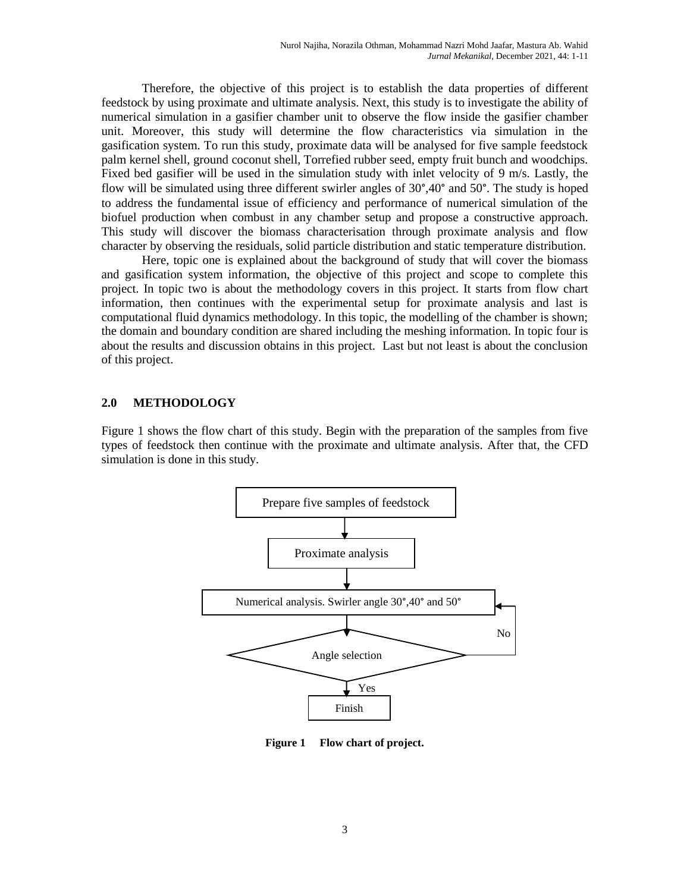Therefore, the objective of this project is to establish the data properties of different feedstock by using proximate and ultimate analysis. Next, this study is to investigate the ability of numerical simulation in a gasifier chamber unit to observe the flow inside the gasifier chamber unit. Moreover, this study will determine the flow characteristics via simulation in the gasification system. To run this study, proximate data will be analysed for five sample feedstock palm kernel shell, ground coconut shell, Torrefied rubber seed, empty fruit bunch and woodchips. Fixed bed gasifier will be used in the simulation study with inlet velocity of 9 m/s. Lastly, the flow will be simulated using three different swirler angles of 30°,40° and 50°. The study is hoped to address the fundamental issue of efficiency and performance of numerical simulation of the biofuel production when combust in any chamber setup and propose a constructive approach. This study will discover the biomass characterisation through proximate analysis and flow character by observing the residuals, solid particle distribution and static temperature distribution.

Here, topic one is explained about the background of study that will cover the biomass and gasification system information, the objective of this project and scope to complete this project. In topic two is about the methodology covers in this project. It starts from flow chart information, then continues with the experimental setup for proximate analysis and last is computational fluid dynamics methodology. In this topic, the modelling of the chamber is shown; the domain and boundary condition are shared including the meshing information. In topic four is about the results and discussion obtains in this project. Last but not least is about the conclusion of this project.

## **2.0 METHODOLOGY**

Figure 1 shows the flow chart of this study. Begin with the preparation of the samples from five types of feedstock then continue with the proximate and ultimate analysis. After that, the CFD simulation is done in this study.



**Figure 1 Flow chart of project.**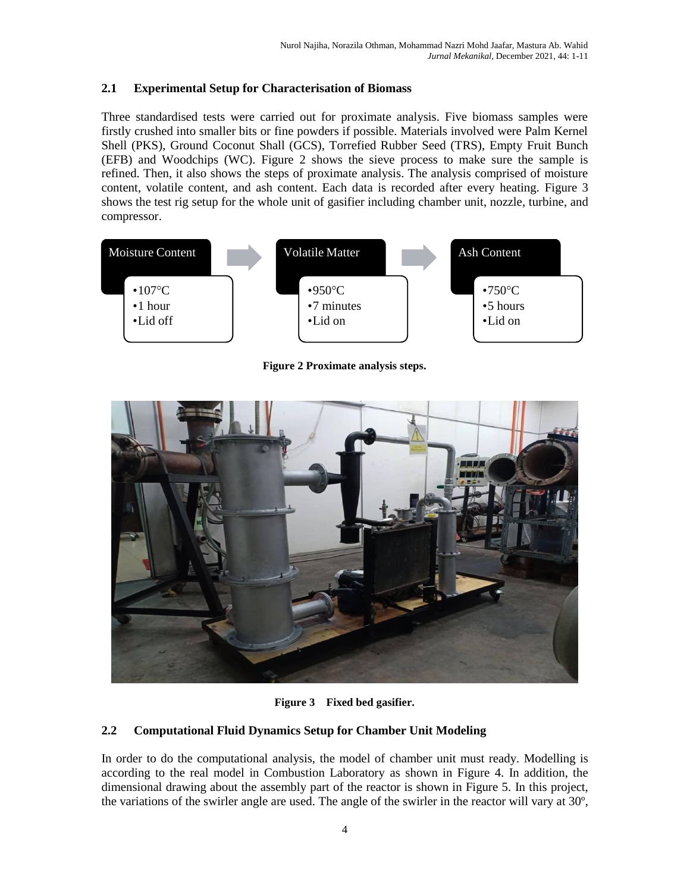## **2.1 Experimental Setup for Characterisation of Biomass**

Three standardised tests were carried out for proximate analysis. Five biomass samples were firstly crushed into smaller bits or fine powders if possible. Materials involved were Palm Kernel Shell (PKS), Ground Coconut Shall (GCS), Torrefied Rubber Seed (TRS), Empty Fruit Bunch (EFB) and Woodchips (WC). Figure 2 shows the sieve process to make sure the sample is refined. Then, it also shows the steps of proximate analysis. The analysis comprised of moisture content, volatile content, and ash content. Each data is recorded after every heating. Figure 3 shows the test rig setup for the whole unit of gasifier including chamber unit, nozzle, turbine, and compressor.



**Figure 2 Proximate analysis steps.**



**Figure 3 Fixed bed gasifier.**

## **2.2 Computational Fluid Dynamics Setup for Chamber Unit Modeling**

In order to do the computational analysis, the model of chamber unit must ready. Modelling is according to the real model in Combustion Laboratory as shown in Figure 4. In addition, the dimensional drawing about the assembly part of the reactor is shown in Figure 5. In this project, the variations of the swirler angle are used. The angle of the swirler in the reactor will vary at 30º,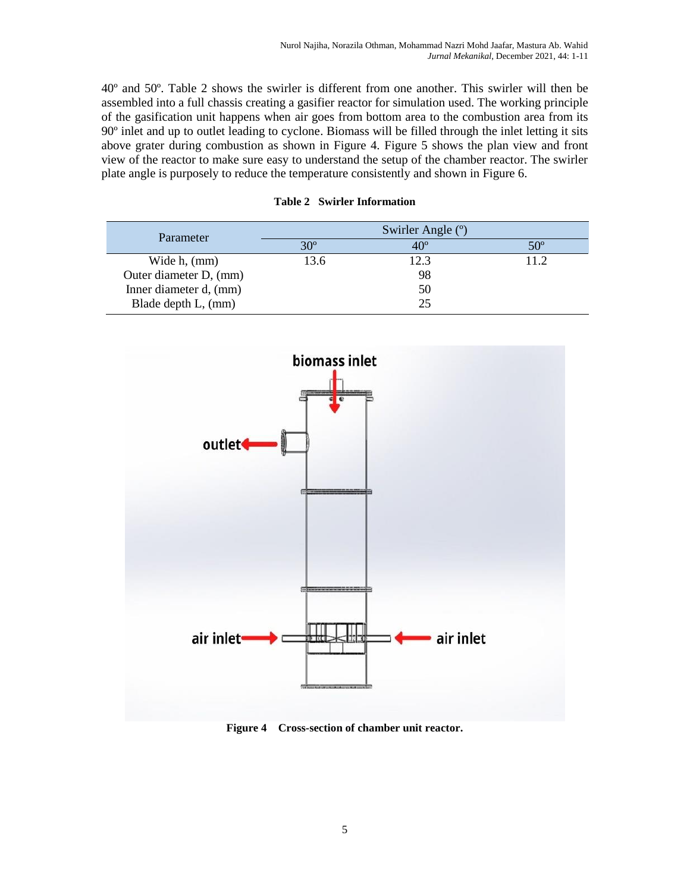40º and 50º. Table 2 shows the swirler is different from one another. This swirler will then be assembled into a full chassis creating a gasifier reactor for simulation used. The working principle of the gasification unit happens when air goes from bottom area to the combustion area from its 90º inlet and up to outlet leading to cyclone. Biomass will be filled through the inlet letting it sits above grater during combustion as shown in Figure 4. Figure 5 shows the plan view and front view of the reactor to make sure easy to understand the setup of the chamber reactor. The swirler plate angle is purposely to reduce the temperature consistently and shown in Figure 6.

| Parameter              | Swirler Angle (°) |              |              |  |
|------------------------|-------------------|--------------|--------------|--|
|                        | $30^\circ$        | $40^{\circ}$ | $50^{\circ}$ |  |
| Wide $h$ , $(mm)$      | 13.6              | 12.3         | 112          |  |
| Outer diameter D, (mm) |                   | 98           |              |  |
| Inner diameter d, (mm) |                   | 50           |              |  |
| Blade depth L, (mm)    |                   | 25           |              |  |

### **Table 2 Swirler Information**



**Figure 4 Cross-section of chamber unit reactor.**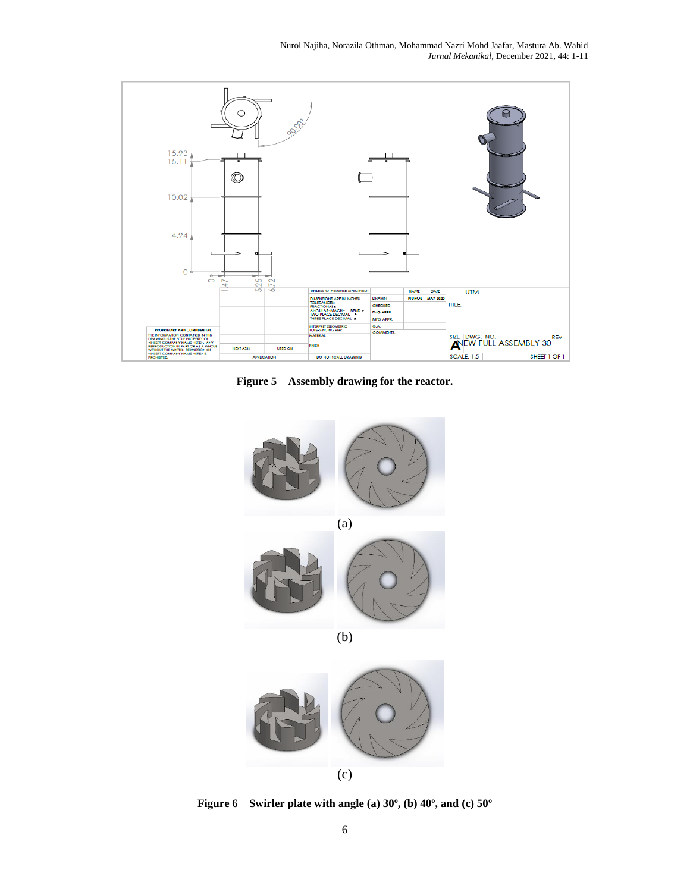Nurol Najiha, Norazila Othman, Mohammad Nazri Mohd Jaafar, Mastura Ab. Wahid *Jurnal Mekanikal*, December 2021, 44: 1-11



**Figure 5 Assembly drawing for the reactor.**



(c)

**Figure 6 Swirler plate with angle (a) 30º, (b) 40º, and (c) 50º**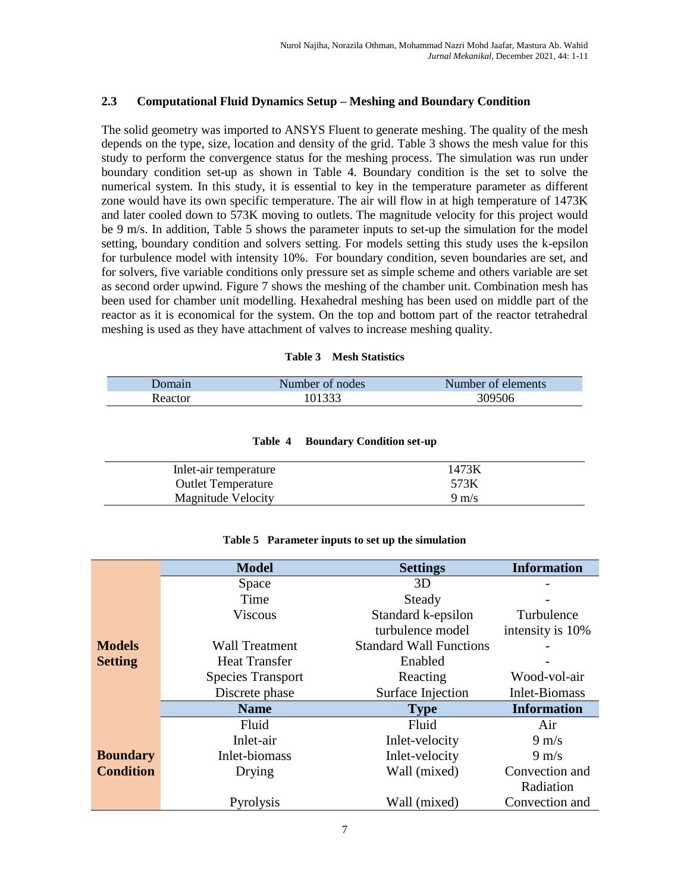## **2.3 Computational Fluid Dynamics Setup – Meshing and Boundary Condition**

The solid geometry was imported to ANSYS Fluent to generate meshing. The quality of the mesh depends on the type, size, location and density of the grid. Table 3 shows the mesh value for this study to perform the convergence status for the meshing process. The simulation was run under boundary condition set-up as shown in Table 4. Boundary condition is the set to solve the numerical system. In this study, it is essential to key in the temperature parameter as different zone would have its own specific temperature. The air will flow in at high temperature of 1473K and later cooled down to 573K moving to outlets. The magnitude velocity for this project would be 9 m/s. In addition, Table 5 shows the parameter inputs to set-up the simulation for the model setting, boundary condition and solvers setting. For models setting this study uses the k-epsilon for turbulence model with intensity 10%. For boundary condition, seven boundaries are set, and for solvers, five variable conditions only pressure set as simple scheme and others variable are set as second order upwind. Figure 7 shows the meshing of the chamber unit. Combination mesh has been used for chamber unit modelling. Hexahedral meshing has been used on middle part of the reactor as it is economical for the system. On the top and bottom part of the reactor tetrahedral meshing is used as they have attachment of valves to increase meshing quality.

### **Table 3 Mesh Statistics**

| Jomain        | Number of nodes | Number of elements |
|---------------|-----------------|--------------------|
| <b>cactor</b> | 0.1222          | 309506             |

| Table 4 |  | <b>Boundary Condition set-up</b> |  |
|---------|--|----------------------------------|--|
|---------|--|----------------------------------|--|

| In let-air temperature    | 1473K           |
|---------------------------|-----------------|
| <b>Outlet Temperature</b> | 573K            |
| Magnitude Velocity        | $9 \text{ m/s}$ |

#### **Table 5 Parameter inputs to set up the simulation**

|                  | <b>Model</b>             | <b>Settings</b>                | <b>Information</b> |
|------------------|--------------------------|--------------------------------|--------------------|
|                  | Space                    | 3D                             |                    |
|                  | Time                     | Steady                         |                    |
|                  | <b>Viscous</b>           | Standard k-epsilon             | Turbulence         |
|                  |                          | turbulence model               | intensity is 10%   |
| <b>Models</b>    | <b>Wall Treatment</b>    | <b>Standard Wall Functions</b> |                    |
| <b>Setting</b>   | <b>Heat Transfer</b>     | Enabled                        |                    |
|                  | <b>Species Transport</b> | Reacting                       | Wood-vol-air       |
|                  | Discrete phase           | Surface Injection              | Inlet-Biomass      |
|                  | <b>Name</b>              | <b>Type</b>                    | <b>Information</b> |
|                  | Fluid                    | Fluid                          | Air                |
|                  | Inlet-air                | Inlet-velocity                 | $9 \text{ m/s}$    |
| <b>Boundary</b>  | Inlet-biomass            | Inlet-velocity                 | $9 \text{ m/s}$    |
| <b>Condition</b> | Drying                   | Wall (mixed)                   | Convection and     |
|                  |                          |                                | Radiation          |
|                  | Pyrolysis                | Wall (mixed)                   | Convection and     |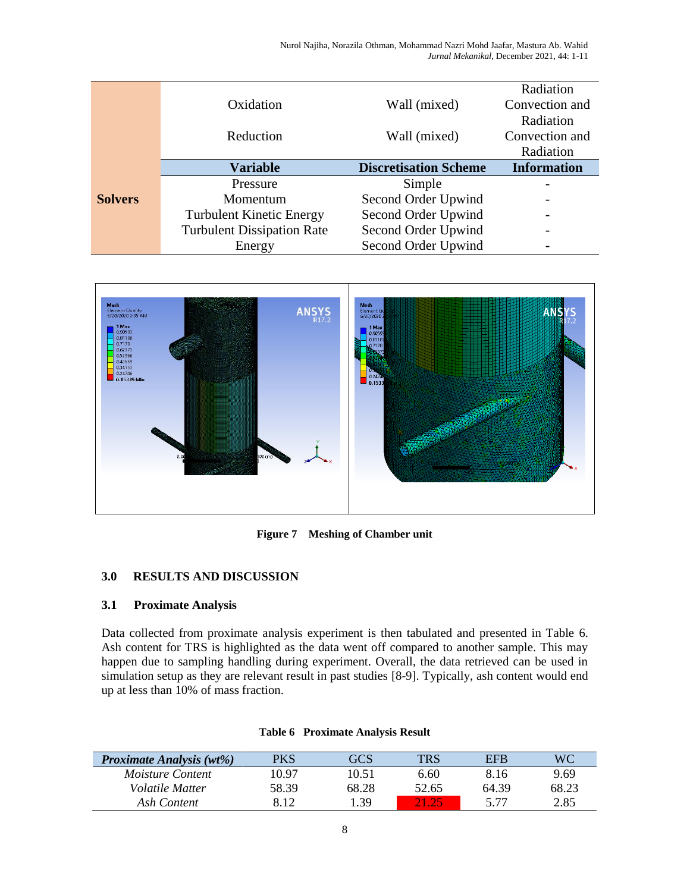Nurol Najiha, Norazila Othman, Mohammad Nazri Mohd Jaafar, Mastura Ab. Wahid *Jurnal Mekanikal*, December 2021, 44: 1-11

|                |                                   |                              | Radiation          |
|----------------|-----------------------------------|------------------------------|--------------------|
|                | Oxidation                         | Wall (mixed)                 | Convection and     |
|                |                                   |                              | Radiation          |
|                | Reduction                         | Wall (mixed)                 | Convection and     |
|                |                                   |                              | Radiation          |
|                | <b>Variable</b>                   | <b>Discretisation Scheme</b> | <b>Information</b> |
|                | Pressure                          | Simple                       |                    |
| <b>Solvers</b> | Momentum                          | Second Order Upwind          |                    |
|                | <b>Turbulent Kinetic Energy</b>   | Second Order Upwind          |                    |
|                | <b>Turbulent Dissipation Rate</b> | Second Order Upwind          |                    |
|                | Energy                            | Second Order Upwind          |                    |



**Figure 7 Meshing of Chamber unit**

## **3.0 RESULTS AND DISCUSSION**

### **3.1 Proximate Analysis**

Data collected from proximate analysis experiment is then tabulated and presented in Table 6. Ash content for TRS is highlighted as the data went off compared to another sample. This may happen due to sampling handling during experiment. Overall, the data retrieved can be used in simulation setup as they are relevant result in past studies [8-9]. Typically, ash content would end up at less than 10% of mass fraction.

| <b>Proximate Analysis (wt%)</b> | PKS   | GCS   |       | EFB   | WС    |
|---------------------------------|-------|-------|-------|-------|-------|
| <i>Moisture Content</i>         | 10.97 | 10.51 | 6.60  | 8.16  | 9.69  |
| <i>Volatile Matter</i>          | 58.39 | 68.28 | 52.65 | 64.39 | 68.23 |
| Ash Content                     | 8.12  | .39   |       | 577   | 2.85  |

#### **Table 6 Proximate Analysis Result**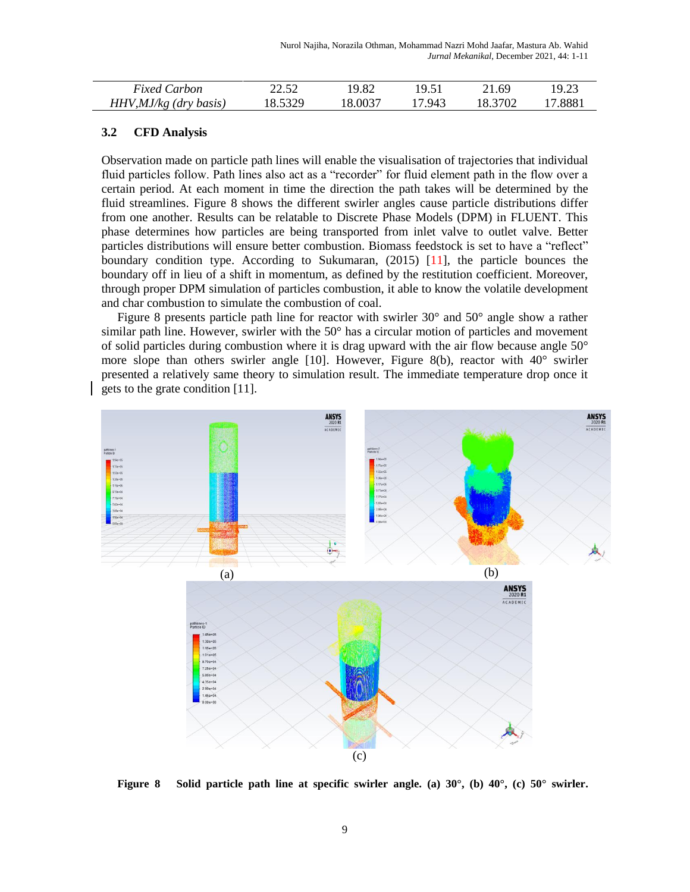| <b>Fixed Carbon</b>      | 22 52.<br>44.JZ | 19.82   | 10 51 | 21.69   | 19.23 |
|--------------------------|-----------------|---------|-------|---------|-------|
| $HHV, MJ/kg$ (dry basis) | 8.5329          | 18.0037 | .943  | 18.3702 | .8881 |

## **3.2 CFD Analysis**

Observation made on particle path lines will enable the visualisation of trajectories that individual fluid particles follow. Path lines also act as a "recorder" for fluid element path in the flow over a certain period. At each moment in time the direction the path takes will be determined by the fluid streamlines. Figure 8 shows the different swirler angles cause particle distributions differ from one another. Results can be relatable to Discrete Phase Models (DPM) in FLUENT. This phase determines how particles are being transported from inlet valve to outlet valve. Better particles distributions will ensure better combustion. Biomass feedstock is set to have a "reflect" boundary condition type. According to Sukumaran, (2015) [11], the particle bounces the boundary off in lieu of a shift in momentum, as defined by the restitution coefficient. Moreover, through proper DPM simulation of particles combustion, it able to know the volatile development and char combustion to simulate the combustion of coal.

Figure 8 presents particle path line for reactor with swirler  $30^{\circ}$  and  $50^{\circ}$  angle show a rather similar path line. However, swirler with the 50° has a circular motion of particles and movement of solid particles during combustion where it is drag upward with the air flow because angle 50° more slope than others swirler angle [10]. However, Figure 8(b), reactor with 40° swirler presented a relatively same theory to simulation result. The immediate temperature drop once it gets to the grate condition [11].



**Figure 8 Solid particle path line at specific swirler angle. (a) 30°, (b) 40°, (c) 50° swirler.**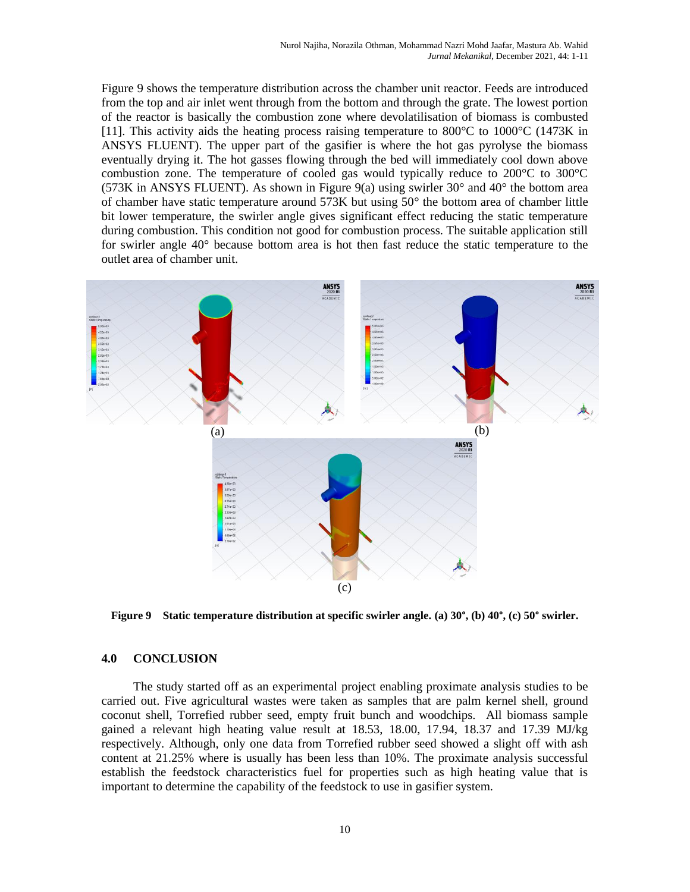Figure 9 shows the temperature distribution across the chamber unit reactor. Feeds are introduced from the top and air inlet went through from the bottom and through the grate. The lowest portion of the reactor is basically the combustion zone where devolatilisation of biomass is combusted [11]. This activity aids the heating process raising temperature to 800°C to 1000°C (1473K in ANSYS FLUENT). The upper part of the gasifier is where the hot gas pyrolyse the biomass eventually drying it. The hot gasses flowing through the bed will immediately cool down above combustion zone. The temperature of cooled gas would typically reduce to 200°C to 300°C (573K in ANSYS FLUENT). As shown in Figure 9(a) using swirler  $30^{\circ}$  and  $40^{\circ}$  the bottom area of chamber have static temperature around 573K but using 50° the bottom area of chamber little bit lower temperature, the swirler angle gives significant effect reducing the static temperature during combustion. This condition not good for combustion process. The suitable application still for swirler angle 40° because bottom area is hot then fast reduce the static temperature to the outlet area of chamber unit.



**Figure 9 Static temperature distribution at specific swirler angle. (a) 30°, (b) 40°, (c) 50° swirler.**

### **4.0 CONCLUSION**

The study started off as an experimental project enabling proximate analysis studies to be carried out. Five agricultural wastes were taken as samples that are palm kernel shell, ground coconut shell, Torrefied rubber seed, empty fruit bunch and woodchips. All biomass sample gained a relevant high heating value result at 18.53, 18.00, 17.94, 18.37 and 17.39 MJ/kg respectively. Although, only one data from Torrefied rubber seed showed a slight off with ash content at 21.25% where is usually has been less than 10%. The proximate analysis successful establish the feedstock characteristics fuel for properties such as high heating value that is important to determine the capability of the feedstock to use in gasifier system.